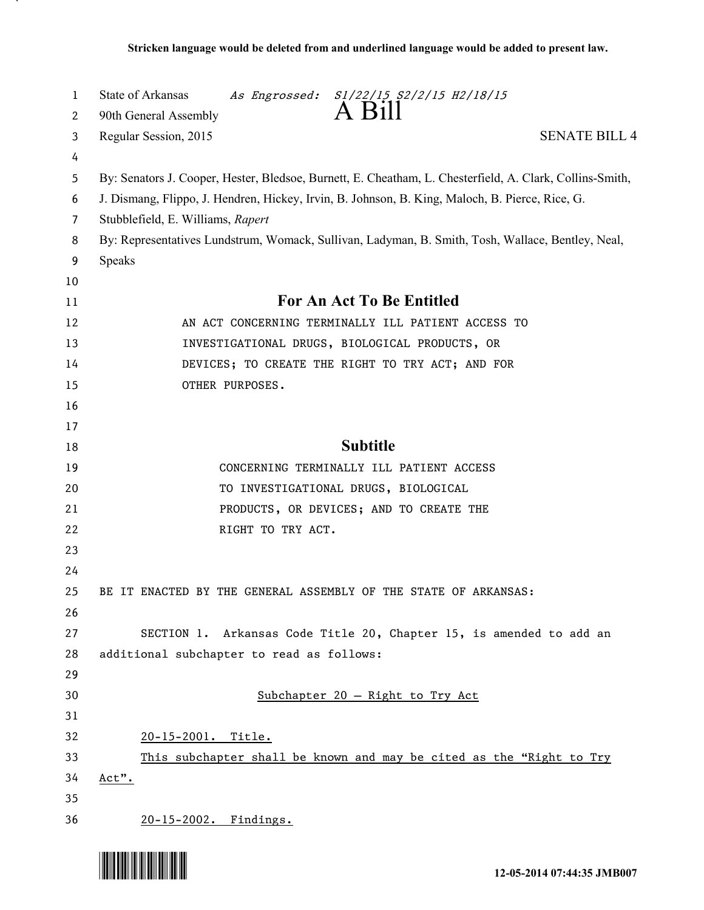| 1        | State of Arkansas<br>As Engrossed: S1/22/15 S2/2/15 H2/18/15<br>A Bill                                   |
|----------|----------------------------------------------------------------------------------------------------------|
| 2        | 90th General Assembly                                                                                    |
| 3        | <b>SENATE BILL 4</b><br>Regular Session, 2015                                                            |
| 4<br>5   | By: Senators J. Cooper, Hester, Bledsoe, Burnett, E. Cheatham, L. Chesterfield, A. Clark, Collins-Smith, |
| 6        | J. Dismang, Flippo, J. Hendren, Hickey, Irvin, B. Johnson, B. King, Maloch, B. Pierce, Rice, G.          |
| 7        | Stubblefield, E. Williams, Rapert                                                                        |
| 8        | By: Representatives Lundstrum, Womack, Sullivan, Ladyman, B. Smith, Tosh, Wallace, Bentley, Neal,        |
| 9        | Speaks                                                                                                   |
| 10       |                                                                                                          |
| 11       | <b>For An Act To Be Entitled</b>                                                                         |
| 12       | AN ACT CONCERNING TERMINALLY ILL PATIENT ACCESS TO                                                       |
| 13       | INVESTIGATIONAL DRUGS, BIOLOGICAL PRODUCTS, OR                                                           |
| 14       | DEVICES; TO CREATE THE RIGHT TO TRY ACT; AND FOR                                                         |
| 15       | OTHER PURPOSES.                                                                                          |
| 16       |                                                                                                          |
| 17       |                                                                                                          |
| 18       | <b>Subtitle</b>                                                                                          |
| 19       | CONCERNING TERMINALLY ILL PATIENT ACCESS                                                                 |
| 20       | TO INVESTIGATIONAL DRUGS, BIOLOGICAL                                                                     |
| 21       | PRODUCTS, OR DEVICES; AND TO CREATE THE                                                                  |
| 22       | RIGHT TO TRY ACT.                                                                                        |
| 23       |                                                                                                          |
| 24       |                                                                                                          |
| 25       | BE IT ENACTED BY THE GENERAL ASSEMBLY OF THE STATE OF ARKANSAS:                                          |
| 26       |                                                                                                          |
| 27       | SECTION 1. Arkansas Code Title 20, Chapter 15, is amended to add an                                      |
| 28       | additional subchapter to read as follows:                                                                |
| 29       |                                                                                                          |
| 30       | Subchapter 20 - Right to Try Act                                                                         |
| 31       |                                                                                                          |
| 32       | 20-15-2001. Title.                                                                                       |
| 33<br>34 | This subchapter shall be known and may be cited as the "Right to Try                                     |
| 35       | Act".                                                                                                    |
| 36       | 20-15-2002. Findings.                                                                                    |
|          |                                                                                                          |



.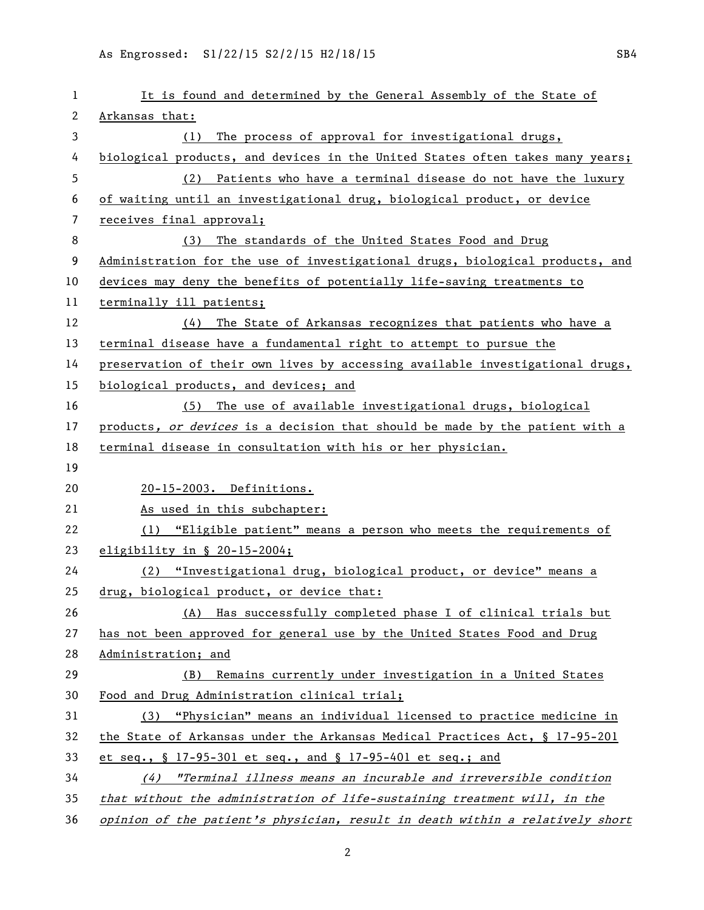| 1  | It is found and determined by the General Assembly of the State of            |
|----|-------------------------------------------------------------------------------|
| 2  | Arkansas that:                                                                |
| 3  | The process of approval for investigational drugs,<br>(1)                     |
| 4  | biological products, and devices in the United States often takes many years; |
| 5  | (2) Patients who have a terminal disease do not have the luxury               |
| 6  | of waiting until an investigational drug, biological product, or device       |
| 7  | receives final approval;                                                      |
| 8  | The standards of the United States Food and Drug<br>(3)                       |
| 9  | Administration for the use of investigational drugs, biological products, and |
| 10 | devices may deny the benefits of potentially life-saving treatments to        |
| 11 | terminally ill patients;                                                      |
| 12 | The State of Arkansas recognizes that patients who have a<br>(4)              |
| 13 | terminal disease have a fundamental right to attempt to pursue the            |
| 14 | preservation of their own lives by accessing available investigational drugs, |
| 15 | biological products, and devices; and                                         |
| 16 | The use of available investigational drugs, biological<br>(5)                 |
| 17 | products, or devices is a decision that should be made by the patient with a  |
| 18 | terminal disease in consultation with his or her physician.                   |
| 19 |                                                                               |
| 20 | 20-15-2003. Definitions.                                                      |
| 21 | As used in this subchapter:                                                   |
| 22 | (1) "Eligible patient" means a person who meets the requirements of           |
| 23 | eligibility in $\S$ 20-15-2004;                                               |
| 24 | (2) "Investigational drug, biological product, or device" means a             |
| 25 | drug, biological product, or device that:                                     |
| 26 | (A) Has successfully completed phase I of clinical trials but                 |
| 27 | has not been approved for general use by the United States Food and Drug      |
| 28 | Administration; and                                                           |
| 29 | Remains currently under investigation in a United States<br>(B)               |
| 30 | Food and Drug Administration clinical trial;                                  |
| 31 | (3) "Physician" means an individual licensed to practice medicine in          |
| 32 | the State of Arkansas under the Arkansas Medical Practices Act, § 17-95-201   |
| 33 | et seq., § 17-95-301 et seq., and § 17-95-401 et seq.; and                    |
| 34 | (4) "Terminal illness means an incurable and irreversible condition           |
| 35 | that without the administration of life-sustaining treatment will, in the     |
| 36 | opinion of the patient's physician, result in death within a relatively short |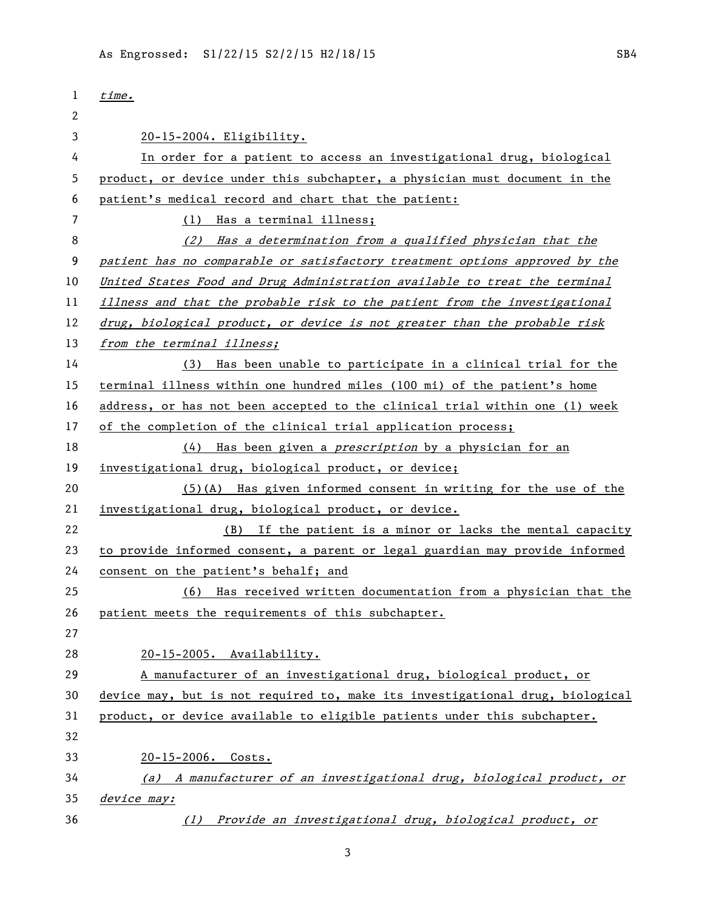| 1  | time.                                                                         |
|----|-------------------------------------------------------------------------------|
| 2  |                                                                               |
| 3  | 20-15-2004. Eligibility.                                                      |
| 4  | In order for a patient to access an investigational drug, biological          |
| 5  | product, or device under this subchapter, a physician must document in the    |
| 6  | patient's medical record and chart that the patient:                          |
| 7  | Has a terminal illness;<br>(1)                                                |
| 8  | (2) Has a determination from a qualified physician that the                   |
| 9  | patient has no comparable or satisfactory treatment options approved by the   |
| 10 | United States Food and Drug Administration available to treat the terminal    |
| 11 | illness and that the probable risk to the patient from the investigational    |
| 12 | drug, biological product, or device is not greater than the probable risk     |
| 13 | from the terminal illness;                                                    |
| 14 | Has been unable to participate in a clinical trial for the<br>(3)             |
| 15 | terminal illness within one hundred miles (100 mi) of the patient's home      |
| 16 | address, or has not been accepted to the clinical trial within one (1) week   |
| 17 | of the completion of the clinical trial application process;                  |
| 18 | Has been given a <i>prescription</i> by a physician for an<br>(4)             |
| 19 | investigational drug, biological product, or device;                          |
| 20 | $(5)(A)$ Has given informed consent in writing for the use of the             |
| 21 | investigational drug, biological product, or device.                          |
| 22 | If the patient is a minor or lacks the mental capacity<br>(B)                 |
| 23 | to provide informed consent, a parent or legal guardian may provide informed  |
| 24 | consent on the patient's behalf; and                                          |
| 25 | (6) Has received written documentation from a physician that the              |
| 26 | patient meets the requirements of this subchapter.                            |
| 27 |                                                                               |
| 28 | 20-15-2005. Availability.                                                     |
| 29 | A manufacturer of an investigational drug, biological product, or             |
| 30 | device may, but is not required to, make its investigational drug, biological |
| 31 | product, or device available to eligible patients under this subchapter.      |
| 32 |                                                                               |
| 33 | 20-15-2006. Costs.                                                            |
| 34 | (a) A manufacturer of an investigational drug, biological product, or         |
| 35 | device may:                                                                   |
| 36 | (1) Provide an investigational drug, biological product, or                   |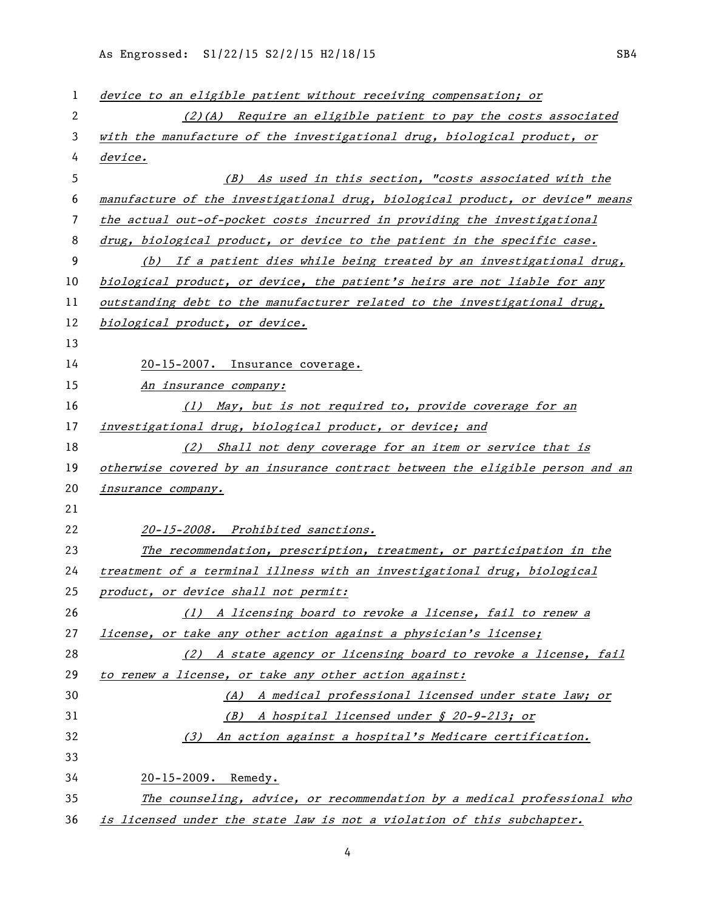As Engrossed: S1/22/15 S2/2/15 H2/18/15 SB4

| 1  | device to an eligible patient without receiving compensation; or              |
|----|-------------------------------------------------------------------------------|
| 2  | $(2)(A)$ Require an eligible patient to pay the costs associated              |
| 3  | with the manufacture of the investigational drug, biological product, or      |
| 4  | device.                                                                       |
| 5  | (B) As used in this section, "costs associated with the                       |
| 6  | manufacture of the investigational drug, biological product, or device" means |
| 7  | the actual out-of-pocket costs incurred in providing the investigational      |
| 8  | drug, biological product, or device to the patient in the specific case.      |
| 9  | (b) If a patient dies while being treated by an investigational drug,         |
| 10 | biological product, or device, the patient's heirs are not liable for any     |
| 11 | outstanding debt to the manufacturer related to the investigational drug,     |
| 12 | biological product, or device.                                                |
| 13 |                                                                               |
| 14 | 20-15-2007. Insurance coverage.                                               |
| 15 | An insurance company:                                                         |
| 16 | (1) May, but is not required to, provide coverage for an                      |
| 17 | investigational drug, biological product, or device; and                      |
| 18 | (2) Shall not deny coverage for an item or service that is                    |
| 19 | otherwise covered by an insurance contract between the eligible person and an |
| 20 | <i>insurance company.</i>                                                     |
| 21 |                                                                               |
| 22 | 20-15-2008. Prohibited sanctions.                                             |
| 23 | The recommendation, prescription, treatment, or participation in the          |
| 24 | treatment of a terminal illness with an investigational drug, biological      |
| 25 | product, or device shall not permit:                                          |
| 26 | (1) A licensing board to revoke a license, fail to renew a                    |
| 27 | license, or take any other action against a physician's license;              |
| 28 | (2) A state agency or licensing board to revoke a license, fail               |
| 29 | to renew a license, or take any other action against:                         |
| 30 | (A) A medical professional licensed under state law; or                       |
| 31 | A hospital licensed under § 20-9-213; or<br>(B)                               |
| 32 | (3) An action against a hospital's Medicare certification.                    |
| 33 |                                                                               |
| 34 | 20-15-2009. Remedy.                                                           |
| 35 | The counseling, advice, or recommendation by a medical professional who       |
| 36 | is licensed under the state law is not a violation of this subchapter.        |